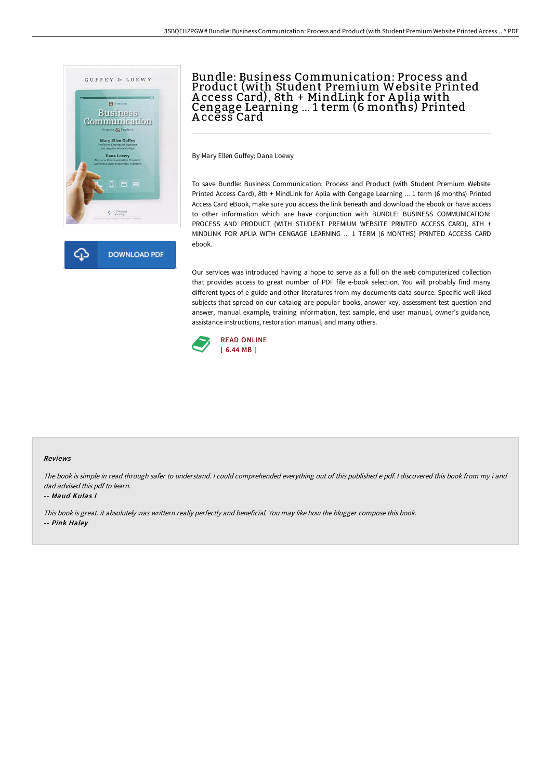



## Bundle: Business Communication: Process and Product (with Student Premium Website Printed A ccess Card), 8th + MindLink for A plia with Cengage Learning ... 1 term (6 months) Printed A ccess Card

By Mary Ellen Guffey; Dana Loewy

To save Bundle: Business Communication: Process and Product (with Student Premium Website Printed Access Card), 8th + MindLink for Aplia with Cengage Learning ... 1 term (6 months) Printed Access Card eBook, make sure you access the link beneath and download the ebook or have access to other information which are have conjunction with BUNDLE: BUSINESS COMMUNICATION: PROCESS AND PRODUCT (WITH STUDENT PREMIUM WEBSITE PRINTED ACCESS CARD), 8TH + MINDLINK FOR APLIA WITH CENGAGE LEARNING ... 1 TERM (6 MONTHS) PRINTED ACCESS CARD ebook.

Our services was introduced having a hope to serve as a full on the web computerized collection that provides access to great number of PDF file e-book selection. You will probably find many different types of e-guide and other literatures from my documents data source. Specific well-liked subjects that spread on our catalog are popular books, answer key, assessment test question and answer, manual example, training information, test sample, end user manual, owner's guidance, assistance instructions, restoration manual, and many others.



### Reviews

The book is simple in read through safer to understand. <sup>I</sup> could comprehended everything out of this published <sup>e</sup> pdf. <sup>I</sup> discovered this book from my i and dad advised this pdf to learn.

### -- Maud Kulas I

This book is great. it absolutely was writtern really perfectly and beneficial. You may like how the blogger compose this book.

-- Pink Haley